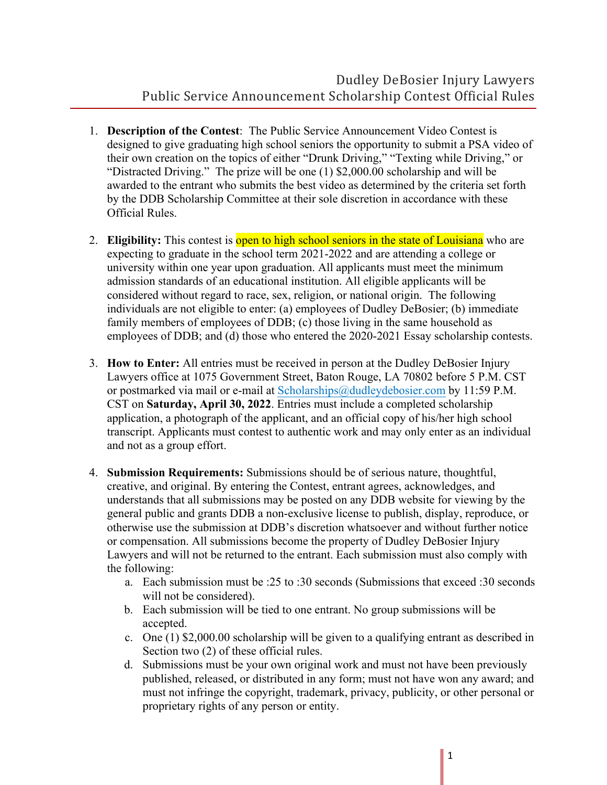- 1. **Description of the Contest**: The Public Service Announcement Video Contest is designed to give graduating high school seniors the opportunity to submit a PSA video of their own creation on the topics of either "Drunk Driving," "Texting while Driving," or "Distracted Driving." The prize will be one (1) \$2,000.00 scholarship and will be awarded to the entrant who submits the best video as determined by the criteria set forth by the DDB Scholarship Committee at their sole discretion in accordance with these Official Rules.
- 2. **Eligibility:** This contest is open to high school seniors in the state of Louisiana who are expecting to graduate in the school term 2021-2022 and are attending a college or university within one year upon graduation. All applicants must meet the minimum admission standards of an educational institution. All eligible applicants will be considered without regard to race, sex, religion, or national origin. The following individuals are not eligible to enter: (a) employees of Dudley DeBosier; (b) immediate family members of employees of DDB; (c) those living in the same household as employees of DDB; and (d) those who entered the 2020-2021 Essay scholarship contests.
- 3. **How to Enter:** All entries must be received in person at the Dudley DeBosier Injury Lawyers office at 1075 Government Street, Baton Rouge, LA 70802 before 5 P.M. CST or postmarked via mail or e-mail at Scholarships@dudleydebosier.com by 11:59 P.M. CST on **Saturday, April 30, 2022**. Entries must include a completed scholarship application, a photograph of the applicant, and an official copy of his/her high school transcript. Applicants must contest to authentic work and may only enter as an individual and not as a group effort.
- 4. **Submission Requirements:** Submissions should be of serious nature, thoughtful, creative, and original. By entering the Contest, entrant agrees, acknowledges, and understands that all submissions may be posted on any DDB website for viewing by the general public and grants DDB a non-exclusive license to publish, display, reproduce, or otherwise use the submission at DDB's discretion whatsoever and without further notice or compensation. All submissions become the property of Dudley DeBosier Injury Lawyers and will not be returned to the entrant. Each submission must also comply with the following:
	- a. Each submission must be :25 to :30 seconds (Submissions that exceed :30 seconds will not be considered).
	- b. Each submission will be tied to one entrant. No group submissions will be accepted.
	- c. One (1) \$2,000.00 scholarship will be given to a qualifying entrant as described in Section two (2) of these official rules.
	- d. Submissions must be your own original work and must not have been previously published, released, or distributed in any form; must not have won any award; and must not infringe the copyright, trademark, privacy, publicity, or other personal or proprietary rights of any person or entity.